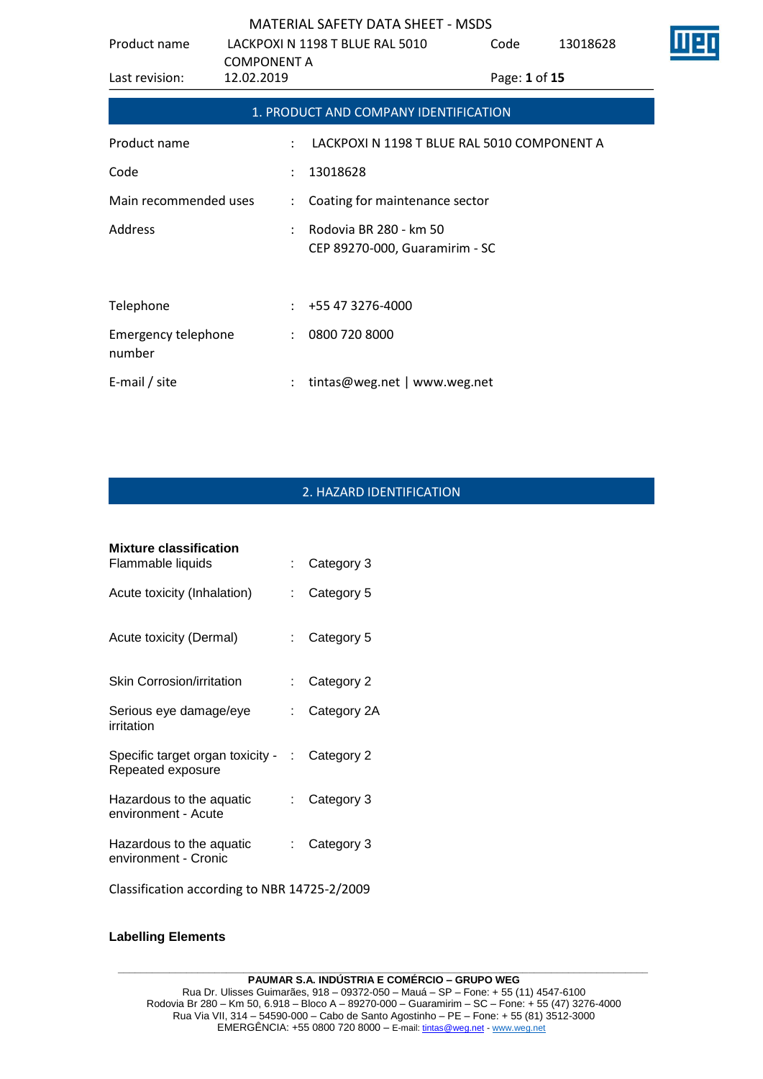| Product name                         |                                  | LACKPOXI N 1198 T BLUE RAL 5010                          | Code          | 13018628 |  |
|--------------------------------------|----------------------------------|----------------------------------------------------------|---------------|----------|--|
| Last revision:                       | <b>COMPONENT A</b><br>12.02.2019 |                                                          | Page: 1 of 15 |          |  |
|                                      |                                  | 1. PRODUCT AND COMPANY IDENTIFICATION                    |               |          |  |
| Product name                         | $\ddot{\phantom{0}}$             | LACKPOXI N 1198 T BLUE RAL 5010 COMPONENT A              |               |          |  |
| Code                                 |                                  | 13018628                                                 |               |          |  |
| Main recommended uses                | $\ddot{\phantom{a}}$             | Coating for maintenance sector                           |               |          |  |
| Address                              |                                  | Rodovia BR 280 - km 50<br>CEP 89270-000, Guaramirim - SC |               |          |  |
| Telephone                            |                                  | $: +55473276-4000$                                       |               |          |  |
| <b>Emergency telephone</b><br>number | $\ddot{\phantom{a}}$             | 0800 720 8000                                            |               |          |  |
| E-mail / site                        |                                  | tintas@weg.net   www.weg.net                             |               |          |  |

# 2. HAZARD IDENTIFICATION

| <b>Mixture classification</b>                           |    |             |
|---------------------------------------------------------|----|-------------|
| Flammable liquids                                       | t. | Category 3  |
| Acute toxicity (Inhalation)                             | t. | Category 5  |
| Acute toxicity (Dermal)                                 | t. | Category 5  |
| Skin Corrosion/irritation                               |    | Category 2  |
| Serious eye damage/eye<br>irritation                    |    | Category 2A |
| Specific target organ toxicity - :<br>Repeated exposure |    | Category 2  |
| Hazardous to the aquatic<br>environment - Acute         | t. | Category 3  |
| Hazardous to the aquatic<br>environment - Cronic        | t. | Category 3  |
|                                                         |    |             |

Classification according to NBR 14725-2/2009

## **Labelling Elements**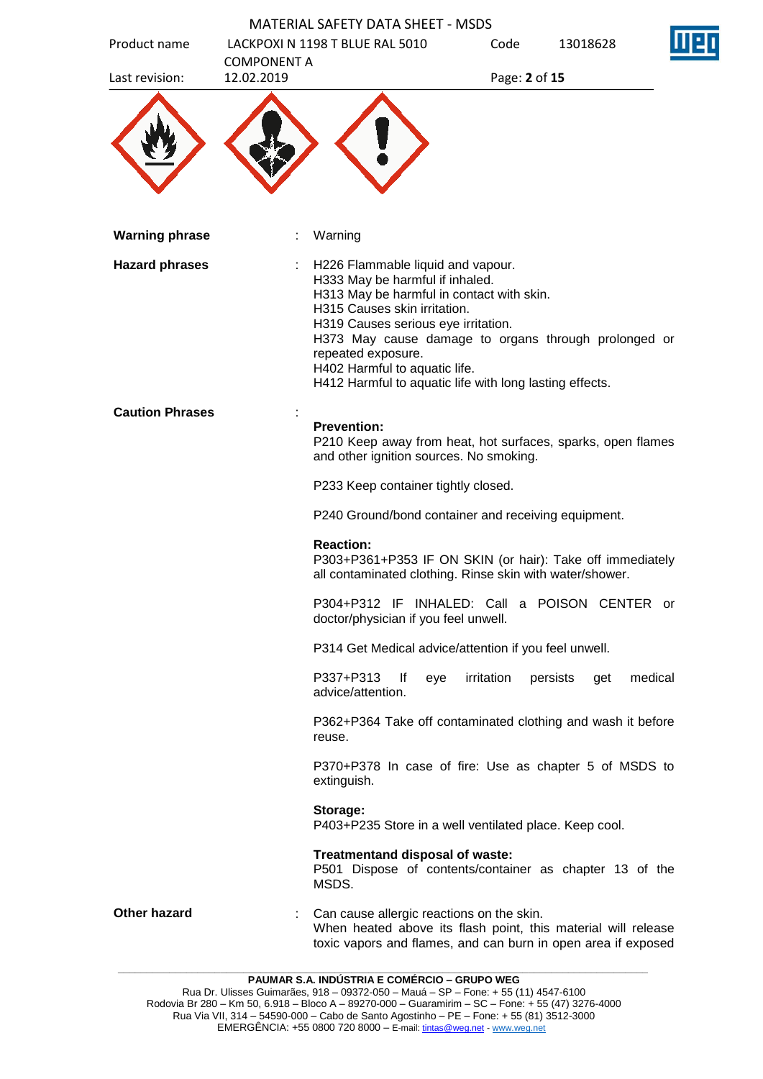| Product name           |                                  | <b>MATERIAL SAFETY DATA SHEET - MSDS</b><br>LACKPOXI N 1198 T BLUE RAL 5010                                                                                                                                                                                                                                                                                        | Code          | 13018628        |         |
|------------------------|----------------------------------|--------------------------------------------------------------------------------------------------------------------------------------------------------------------------------------------------------------------------------------------------------------------------------------------------------------------------------------------------------------------|---------------|-----------------|---------|
| Last revision:         | <b>COMPONENT A</b><br>12.02.2019 |                                                                                                                                                                                                                                                                                                                                                                    | Page: 2 of 15 |                 |         |
|                        |                                  |                                                                                                                                                                                                                                                                                                                                                                    |               |                 |         |
| <b>Warning phrase</b>  |                                  | Warning                                                                                                                                                                                                                                                                                                                                                            |               |                 |         |
| <b>Hazard phrases</b>  |                                  | H226 Flammable liquid and vapour.<br>H333 May be harmful if inhaled.<br>H313 May be harmful in contact with skin.<br>H315 Causes skin irritation.<br>H319 Causes serious eye irritation.<br>H373 May cause damage to organs through prolonged or<br>repeated exposure.<br>H402 Harmful to aquatic life.<br>H412 Harmful to aquatic life with long lasting effects. |               |                 |         |
| <b>Caution Phrases</b> |                                  | <b>Prevention:</b><br>P210 Keep away from heat, hot surfaces, sparks, open flames<br>and other ignition sources. No smoking.                                                                                                                                                                                                                                       |               |                 |         |
|                        |                                  | P233 Keep container tightly closed.                                                                                                                                                                                                                                                                                                                                |               |                 |         |
|                        |                                  | P240 Ground/bond container and receiving equipment.                                                                                                                                                                                                                                                                                                                |               |                 |         |
|                        |                                  | <b>Reaction:</b><br>P303+P361+P353 IF ON SKIN (or hair): Take off immediately<br>all contaminated clothing. Rinse skin with water/shower.                                                                                                                                                                                                                          |               |                 |         |
|                        |                                  | P304+P312 IF INHALED: Call a POISON CENTER or<br>doctor/physician if you feel unwell.                                                                                                                                                                                                                                                                              |               |                 |         |
|                        |                                  | P314 Get Medical advice/attention if you feel unwell.                                                                                                                                                                                                                                                                                                              |               |                 |         |
|                        |                                  | P337+P313<br>lf<br>eye<br>advice/attention.                                                                                                                                                                                                                                                                                                                        | irritation    | persists<br>get | medical |
|                        |                                  | P362+P364 Take off contaminated clothing and wash it before<br>reuse.                                                                                                                                                                                                                                                                                              |               |                 |         |
|                        |                                  | P370+P378 In case of fire: Use as chapter 5 of MSDS to<br>extinguish.                                                                                                                                                                                                                                                                                              |               |                 |         |
|                        |                                  | Storage:<br>P403+P235 Store in a well ventilated place. Keep cool.                                                                                                                                                                                                                                                                                                 |               |                 |         |
|                        |                                  | Treatmentand disposal of waste:<br>P501 Dispose of contents/container as chapter 13 of the<br>MSDS.                                                                                                                                                                                                                                                                |               |                 |         |
| <b>Other hazard</b>    |                                  | Can cause allergic reactions on the skin.<br>When heated above its flash point, this material will release<br>toxic vapors and flames, and can burn in open area if exposed                                                                                                                                                                                        |               |                 |         |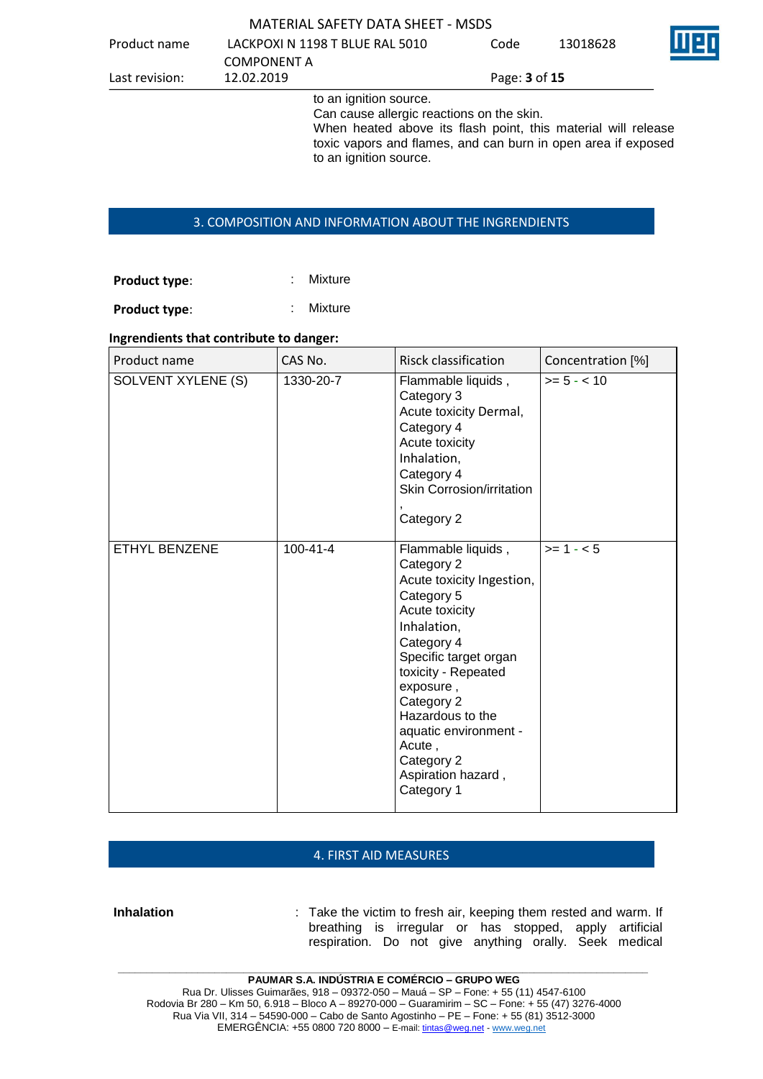| Product name   | LACKPOXI N 1198 T BLUE RAL 5010 | Code                        | 13018628 |
|----------------|---------------------------------|-----------------------------|----------|
|                | COMPONENT A                     |                             |          |
| Last revision: | 12.02.2019                      | Page: <b>3</b> of <b>15</b> |          |

to an ignition source.

Can cause allergic reactions on the skin.

When heated above its flash point, this material will release toxic vapors and flames, and can burn in open area if exposed to an ignition source.

### 3. COMPOSITION AND INFORMATION ABOUT THE INGRENDIENTS

**Product type:** : : : : : : Mixture

**Product type:** : : : : : : Mixture

#### **Ingrendients that contribute to danger:**

| Product name       | CAS No.        | Risck classification                                                                                                                                                                                                                                                                                           | Concentration [%] |
|--------------------|----------------|----------------------------------------------------------------------------------------------------------------------------------------------------------------------------------------------------------------------------------------------------------------------------------------------------------------|-------------------|
| SOLVENT XYLENE (S) | 1330-20-7      | Flammable liquids,<br>Category 3<br>Acute toxicity Dermal,<br>Category 4<br>Acute toxicity<br>Inhalation,<br>Category 4<br>Skin Corrosion/irritation<br>Category 2                                                                                                                                             | $>= 5 - < 10$     |
| ETHYL BENZENE      | $100 - 41 - 4$ | Flammable liquids,<br>Category 2<br>Acute toxicity Ingestion,<br>Category 5<br>Acute toxicity<br>Inhalation,<br>Category 4<br>Specific target organ<br>toxicity - Repeated<br>exposure,<br>Category 2<br>Hazardous to the<br>aquatic environment -<br>Acute,<br>Category 2<br>Aspiration hazard,<br>Category 1 | $>= 1 - 5$        |

### 4. FIRST AID MEASURES

**Inhalation** : Take the victim to fresh air, keeping them rested and warm. If breathing is irregular or has stopped, apply artificial respiration. Do not give anything orally. Seek medical

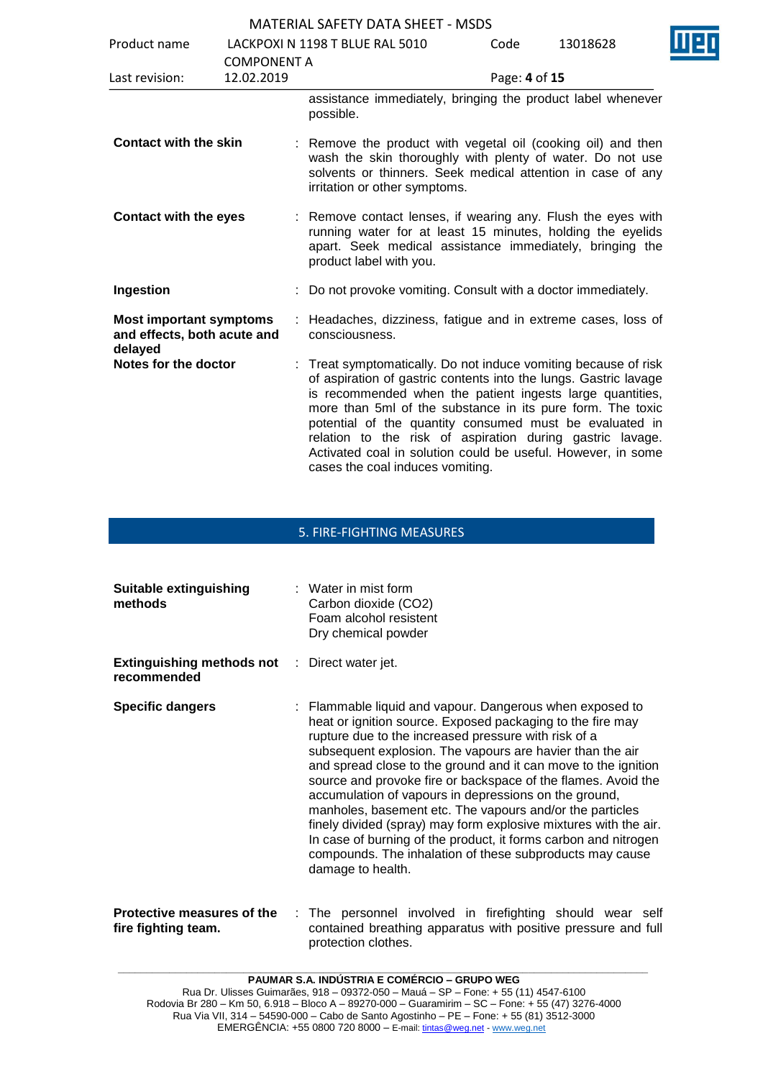| Product name                                                             |                                  | LACKPOXI N 1198 T BLUE RAL 5010                                                                                                                                                                                                                                                                                                                                                                                                                                                            | Code          | 13018628 | T |
|--------------------------------------------------------------------------|----------------------------------|--------------------------------------------------------------------------------------------------------------------------------------------------------------------------------------------------------------------------------------------------------------------------------------------------------------------------------------------------------------------------------------------------------------------------------------------------------------------------------------------|---------------|----------|---|
| Last revision:                                                           | <b>COMPONENT A</b><br>12.02.2019 |                                                                                                                                                                                                                                                                                                                                                                                                                                                                                            | Page: 4 of 15 |          |   |
|                                                                          |                                  | assistance immediately, bringing the product label whenever<br>possible.                                                                                                                                                                                                                                                                                                                                                                                                                   |               |          |   |
| <b>Contact with the skin</b>                                             |                                  | : Remove the product with vegetal oil (cooking oil) and then<br>wash the skin thoroughly with plenty of water. Do not use<br>solvents or thinners. Seek medical attention in case of any<br>irritation or other symptoms.                                                                                                                                                                                                                                                                  |               |          |   |
| <b>Contact with the eyes</b>                                             |                                  | : Remove contact lenses, if wearing any. Flush the eyes with<br>running water for at least 15 minutes, holding the eyelids<br>apart. Seek medical assistance immediately, bringing the<br>product label with you.                                                                                                                                                                                                                                                                          |               |          |   |
| Ingestion                                                                |                                  | Do not provoke vomiting. Consult with a doctor immediately.                                                                                                                                                                                                                                                                                                                                                                                                                                |               |          |   |
| <b>Most important symptoms</b><br>and effects, both acute and<br>delayed |                                  | : Headaches, dizziness, fatigue and in extreme cases, loss of<br>consciousness.                                                                                                                                                                                                                                                                                                                                                                                                            |               |          |   |
| Notes for the doctor                                                     |                                  | : Treat symptomatically. Do not induce vomiting because of risk<br>of aspiration of gastric contents into the lungs. Gastric lavage<br>is recommended when the patient ingests large quantities,<br>more than 5ml of the substance in its pure form. The toxic<br>potential of the quantity consumed must be evaluated in<br>relation to the risk of aspiration during gastric lavage.<br>Activated coal in solution could be useful. However, in some<br>cases the coal induces vomiting. |               |          |   |

# 5. FIRE-FIGHTING MEASURES

| Suitable extinguishing<br>methods                                   | $\therefore$ Water in mist form<br>Carbon dioxide (CO2)<br>Foam alcohol resistent<br>Dry chemical powder                                                                                                                                                                                                                                                                                                                                                                                                                                                                                                                                                                                                                    |
|---------------------------------------------------------------------|-----------------------------------------------------------------------------------------------------------------------------------------------------------------------------------------------------------------------------------------------------------------------------------------------------------------------------------------------------------------------------------------------------------------------------------------------------------------------------------------------------------------------------------------------------------------------------------------------------------------------------------------------------------------------------------------------------------------------------|
| <b>Extinguishing methods not</b> : Direct water jet.<br>recommended |                                                                                                                                                                                                                                                                                                                                                                                                                                                                                                                                                                                                                                                                                                                             |
| <b>Specific dangers</b>                                             | : Flammable liquid and vapour. Dangerous when exposed to<br>heat or ignition source. Exposed packaging to the fire may<br>rupture due to the increased pressure with risk of a<br>subsequent explosion. The vapours are havier than the air<br>and spread close to the ground and it can move to the ignition<br>source and provoke fire or backspace of the flames. Avoid the<br>accumulation of vapours in depressions on the ground,<br>manholes, basement etc. The vapours and/or the particles<br>finely divided (spray) may form explosive mixtures with the air.<br>In case of burning of the product, it forms carbon and nitrogen<br>compounds. The inhalation of these subproducts may cause<br>damage to health. |
| <b>Protective measures of the</b>                                   | The nersonnal involved in firefighting should wear self                                                                                                                                                                                                                                                                                                                                                                                                                                                                                                                                                                                                                                                                     |

#### **Protective measures of the fire fighting team.** : The personnel involved in firefighting should wear self contained breathing apparatus with positive pressure and full protection clothes.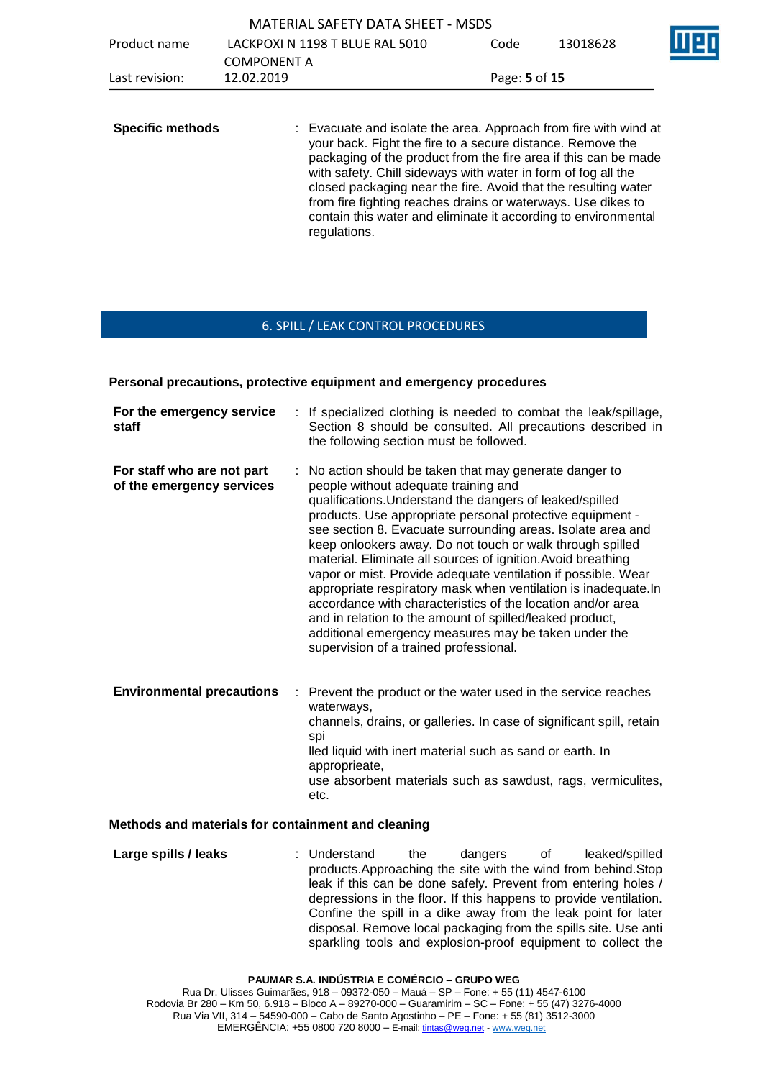|                         |                                  | <b>MATERIAL SAFETY DATA SHEET - MSDS</b>                                                                                                                                                                                                                                                                                                                                                                                                                                               |               |          |  |
|-------------------------|----------------------------------|----------------------------------------------------------------------------------------------------------------------------------------------------------------------------------------------------------------------------------------------------------------------------------------------------------------------------------------------------------------------------------------------------------------------------------------------------------------------------------------|---------------|----------|--|
| Product name            |                                  | LACKPOXI N 1198 T BLUE RAL 5010                                                                                                                                                                                                                                                                                                                                                                                                                                                        | Code          | 13018628 |  |
| Last revision:          | <b>COMPONENT A</b><br>12.02.2019 |                                                                                                                                                                                                                                                                                                                                                                                                                                                                                        | Page: 5 of 15 |          |  |
| <b>Specific methods</b> |                                  | : Evacuate and isolate the area. Approach from fire with wind at<br>your back. Fight the fire to a secure distance. Remove the<br>packaging of the product from the fire area if this can be made<br>with safety. Chill sideways with water in form of fog all the<br>closed packaging near the fire. Avoid that the resulting water<br>from fire fighting reaches drains or waterways. Use dikes to<br>contain this water and eliminate it according to environmental<br>regulations. |               |          |  |

# 6. SPILL / LEAK CONTROL PROCEDURES

#### **Personal precautions, protective equipment and emergency procedures**

| For the emergency service<br>staff                      | : If specialized clothing is needed to combat the leak/spillage,<br>Section 8 should be consulted. All precautions described in<br>the following section must be followed.                                                                                                                                                                                                                                                                                                                                                                                                                                                                                                                                                                                                           |
|---------------------------------------------------------|--------------------------------------------------------------------------------------------------------------------------------------------------------------------------------------------------------------------------------------------------------------------------------------------------------------------------------------------------------------------------------------------------------------------------------------------------------------------------------------------------------------------------------------------------------------------------------------------------------------------------------------------------------------------------------------------------------------------------------------------------------------------------------------|
| For staff who are not part<br>of the emergency services | : No action should be taken that may generate danger to<br>people without adequate training and<br>qualifications. Understand the dangers of leaked/spilled<br>products. Use appropriate personal protective equipment -<br>see section 8. Evacuate surrounding areas. Isolate area and<br>keep onlookers away. Do not touch or walk through spilled<br>material. Eliminate all sources of ignition. Avoid breathing<br>vapor or mist. Provide adequate ventilation if possible. Wear<br>appropriate respiratory mask when ventilation is inadequate.In<br>accordance with characteristics of the location and/or area<br>and in relation to the amount of spilled/leaked product,<br>additional emergency measures may be taken under the<br>supervision of a trained professional. |
| <b>Environmental precautions</b><br>÷.                  | Prevent the product or the water used in the service reaches<br>waterways,<br>channels, drains, or galleries. In case of significant spill, retain<br>spi<br>lled liquid with inert material such as sand or earth. In<br>approprieate,<br>use absorbent materials such as sawdust, rags, vermiculites,<br>etc.                                                                                                                                                                                                                                                                                                                                                                                                                                                                      |

#### **Methods and materials for containment and cleaning**

**Large spills / leaks** : Understand the dangers of leaked/spilled products.Approaching the site with the wind from behind.Stop leak if this can be done safely. Prevent from entering holes / depressions in the floor. If this happens to provide ventilation. Confine the spill in a dike away from the leak point for later disposal. Remove local packaging from the spills site. Use anti sparkling tools and explosion-proof equipment to collect the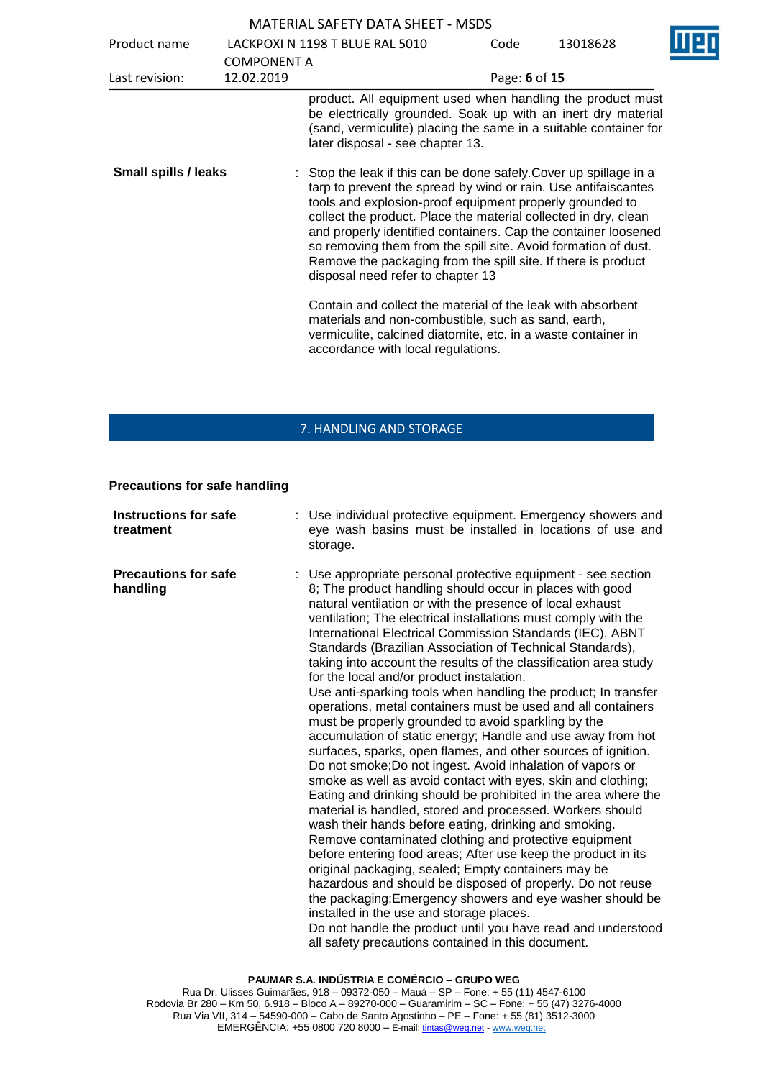| Product name                |                                  | LACKPOXI N 1198 T BLUE RAL 5010                                                                                                                                                                                                                                                                                                                                                                                                                                                                               | Code          | 13018628 |  |
|-----------------------------|----------------------------------|---------------------------------------------------------------------------------------------------------------------------------------------------------------------------------------------------------------------------------------------------------------------------------------------------------------------------------------------------------------------------------------------------------------------------------------------------------------------------------------------------------------|---------------|----------|--|
| Last revision:              | <b>COMPONENT A</b><br>12.02.2019 |                                                                                                                                                                                                                                                                                                                                                                                                                                                                                                               | Page: 6 of 15 |          |  |
|                             |                                  | product. All equipment used when handling the product must<br>be electrically grounded. Soak up with an inert dry material<br>(sand, vermiculite) placing the same in a suitable container for<br>later disposal - see chapter 13.                                                                                                                                                                                                                                                                            |               |          |  |
| <b>Small spills / leaks</b> |                                  | : Stop the leak if this can be done safely. Cover up spillage in a<br>tarp to prevent the spread by wind or rain. Use antifaiscantes<br>tools and explosion-proof equipment properly grounded to<br>collect the product. Place the material collected in dry, clean<br>and properly identified containers. Cap the container loosened<br>so removing them from the spill site. Avoid formation of dust.<br>Remove the packaging from the spill site. If there is product<br>disposal need refer to chapter 13 |               |          |  |
|                             |                                  | Contain and collect the material of the leak with absorbent<br>materials and non-combustible, such as sand, earth,<br>vermiculite, calcined diatomite, etc. in a waste container in<br>accordance with local regulations.                                                                                                                                                                                                                                                                                     |               |          |  |

# 7. HANDLING AND STORAGE

**Precautions for safe handling**

| <b>Instructions for safe</b><br>treatment | : Use individual protective equipment. Emergency showers and<br>eye wash basins must be installed in locations of use and<br>storage.                                                                                                                                                                                                                                                                                                                                                                                                                                                                                                                                                                                                                                                                                                                                                                                                                                                                                                                                                                                                                                                                                                                                                                                                                                                                                                                                                                                                                                                                                            |
|-------------------------------------------|----------------------------------------------------------------------------------------------------------------------------------------------------------------------------------------------------------------------------------------------------------------------------------------------------------------------------------------------------------------------------------------------------------------------------------------------------------------------------------------------------------------------------------------------------------------------------------------------------------------------------------------------------------------------------------------------------------------------------------------------------------------------------------------------------------------------------------------------------------------------------------------------------------------------------------------------------------------------------------------------------------------------------------------------------------------------------------------------------------------------------------------------------------------------------------------------------------------------------------------------------------------------------------------------------------------------------------------------------------------------------------------------------------------------------------------------------------------------------------------------------------------------------------------------------------------------------------------------------------------------------------|
| <b>Precautions for safe</b><br>handling   | : Use appropriate personal protective equipment - see section<br>8; The product handling should occur in places with good<br>natural ventilation or with the presence of local exhaust<br>ventilation; The electrical installations must comply with the<br>International Electrical Commission Standards (IEC), ABNT<br>Standards (Brazilian Association of Technical Standards),<br>taking into account the results of the classification area study<br>for the local and/or product instalation.<br>Use anti-sparking tools when handling the product; In transfer<br>operations, metal containers must be used and all containers<br>must be properly grounded to avoid sparkling by the<br>accumulation of static energy; Handle and use away from hot<br>surfaces, sparks, open flames, and other sources of ignition.<br>Do not smoke; Do not ingest. Avoid inhalation of vapors or<br>smoke as well as avoid contact with eyes, skin and clothing;<br>Eating and drinking should be prohibited in the area where the<br>material is handled, stored and processed. Workers should<br>wash their hands before eating, drinking and smoking.<br>Remove contaminated clothing and protective equipment<br>before entering food areas; After use keep the product in its<br>original packaging, sealed; Empty containers may be<br>hazardous and should be disposed of properly. Do not reuse<br>the packaging; Emergency showers and eye washer should be<br>installed in the use and storage places.<br>Do not handle the product until you have read and understood<br>all safety precautions contained in this document. |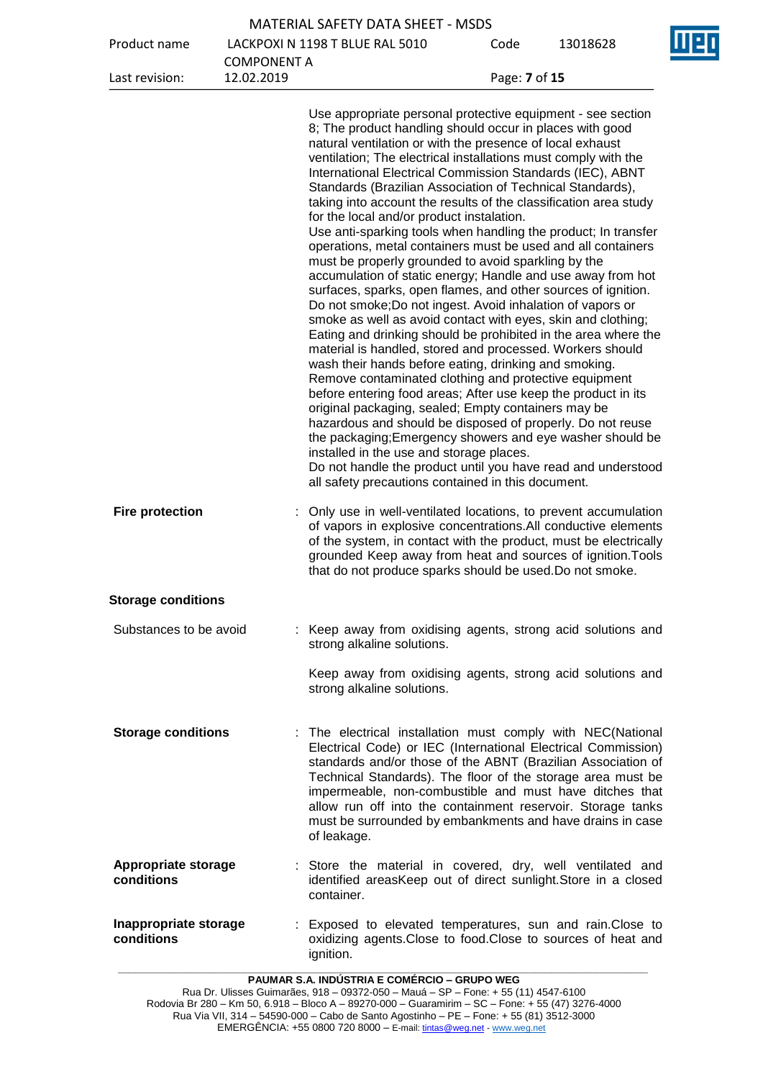|                                          |                                  | <b>MATERIAL SAFETY DATA SHEET - MSDS</b>                                                                                                                                                                                                                                                                                                                                                                                                                                                                                                                                                                                                                                                                                                                                                                                                                                                                                                                                                                                                                                                                                                                                                                                                                                                                                                                                                                                                                                                                                                                                                                                       |               |          |
|------------------------------------------|----------------------------------|--------------------------------------------------------------------------------------------------------------------------------------------------------------------------------------------------------------------------------------------------------------------------------------------------------------------------------------------------------------------------------------------------------------------------------------------------------------------------------------------------------------------------------------------------------------------------------------------------------------------------------------------------------------------------------------------------------------------------------------------------------------------------------------------------------------------------------------------------------------------------------------------------------------------------------------------------------------------------------------------------------------------------------------------------------------------------------------------------------------------------------------------------------------------------------------------------------------------------------------------------------------------------------------------------------------------------------------------------------------------------------------------------------------------------------------------------------------------------------------------------------------------------------------------------------------------------------------------------------------------------------|---------------|----------|
| Product name                             |                                  | LACKPOXI N 1198 T BLUE RAL 5010                                                                                                                                                                                                                                                                                                                                                                                                                                                                                                                                                                                                                                                                                                                                                                                                                                                                                                                                                                                                                                                                                                                                                                                                                                                                                                                                                                                                                                                                                                                                                                                                | Code          | 13018628 |
| Last revision:                           | <b>COMPONENT A</b><br>12.02.2019 |                                                                                                                                                                                                                                                                                                                                                                                                                                                                                                                                                                                                                                                                                                                                                                                                                                                                                                                                                                                                                                                                                                                                                                                                                                                                                                                                                                                                                                                                                                                                                                                                                                | Page: 7 of 15 |          |
|                                          |                                  | Use appropriate personal protective equipment - see section<br>8; The product handling should occur in places with good<br>natural ventilation or with the presence of local exhaust<br>ventilation; The electrical installations must comply with the<br>International Electrical Commission Standards (IEC), ABNT<br>Standards (Brazilian Association of Technical Standards),<br>taking into account the results of the classification area study<br>for the local and/or product instalation.<br>Use anti-sparking tools when handling the product; In transfer<br>operations, metal containers must be used and all containers<br>must be properly grounded to avoid sparkling by the<br>accumulation of static energy; Handle and use away from hot<br>surfaces, sparks, open flames, and other sources of ignition.<br>Do not smoke; Do not ingest. Avoid inhalation of vapors or<br>smoke as well as avoid contact with eyes, skin and clothing;<br>Eating and drinking should be prohibited in the area where the<br>material is handled, stored and processed. Workers should<br>wash their hands before eating, drinking and smoking.<br>Remove contaminated clothing and protective equipment<br>before entering food areas; After use keep the product in its<br>original packaging, sealed; Empty containers may be<br>hazardous and should be disposed of properly. Do not reuse<br>the packaging; Emergency showers and eye washer should be<br>installed in the use and storage places.<br>Do not handle the product until you have read and understood<br>all safety precautions contained in this document. |               |          |
| <b>Fire protection</b>                   |                                  | Only use in well-ventilated locations, to prevent accumulation<br>of vapors in explosive concentrations.All conductive elements<br>of the system, in contact with the product, must be electrically<br>grounded Keep away from heat and sources of ignition. Tools<br>that do not produce sparks should be used. Do not smoke.                                                                                                                                                                                                                                                                                                                                                                                                                                                                                                                                                                                                                                                                                                                                                                                                                                                                                                                                                                                                                                                                                                                                                                                                                                                                                                 |               |          |
| <b>Storage conditions</b>                |                                  |                                                                                                                                                                                                                                                                                                                                                                                                                                                                                                                                                                                                                                                                                                                                                                                                                                                                                                                                                                                                                                                                                                                                                                                                                                                                                                                                                                                                                                                                                                                                                                                                                                |               |          |
| Substances to be avoid                   |                                  | : Keep away from oxidising agents, strong acid solutions and<br>strong alkaline solutions.                                                                                                                                                                                                                                                                                                                                                                                                                                                                                                                                                                                                                                                                                                                                                                                                                                                                                                                                                                                                                                                                                                                                                                                                                                                                                                                                                                                                                                                                                                                                     |               |          |
|                                          |                                  | Keep away from oxidising agents, strong acid solutions and<br>strong alkaline solutions.                                                                                                                                                                                                                                                                                                                                                                                                                                                                                                                                                                                                                                                                                                                                                                                                                                                                                                                                                                                                                                                                                                                                                                                                                                                                                                                                                                                                                                                                                                                                       |               |          |
| <b>Storage conditions</b>                |                                  | The electrical installation must comply with NEC(National<br>Electrical Code) or IEC (International Electrical Commission)<br>standards and/or those of the ABNT (Brazilian Association of<br>Technical Standards). The floor of the storage area must be<br>impermeable, non-combustible and must have ditches that<br>allow run off into the containment reservoir. Storage tanks<br>must be surrounded by embankments and have drains in case<br>of leakage.                                                                                                                                                                                                                                                                                                                                                                                                                                                                                                                                                                                                                                                                                                                                                                                                                                                                                                                                                                                                                                                                                                                                                                |               |          |
| <b>Appropriate storage</b><br>conditions |                                  | : Store the material in covered, dry, well ventilated and<br>identified areasKeep out of direct sunlight. Store in a closed<br>container.                                                                                                                                                                                                                                                                                                                                                                                                                                                                                                                                                                                                                                                                                                                                                                                                                                                                                                                                                                                                                                                                                                                                                                                                                                                                                                                                                                                                                                                                                      |               |          |
| Inappropriate storage<br>conditions      |                                  | Exposed to elevated temperatures, sun and rain. Close to<br>oxidizing agents. Close to food. Close to sources of heat and<br>ignition.                                                                                                                                                                                                                                                                                                                                                                                                                                                                                                                                                                                                                                                                                                                                                                                                                                                                                                                                                                                                                                                                                                                                                                                                                                                                                                                                                                                                                                                                                         |               |          |

**PAUMAR S.A. INDÚSTRIA E COMÉRCIO – GRUPO WEG**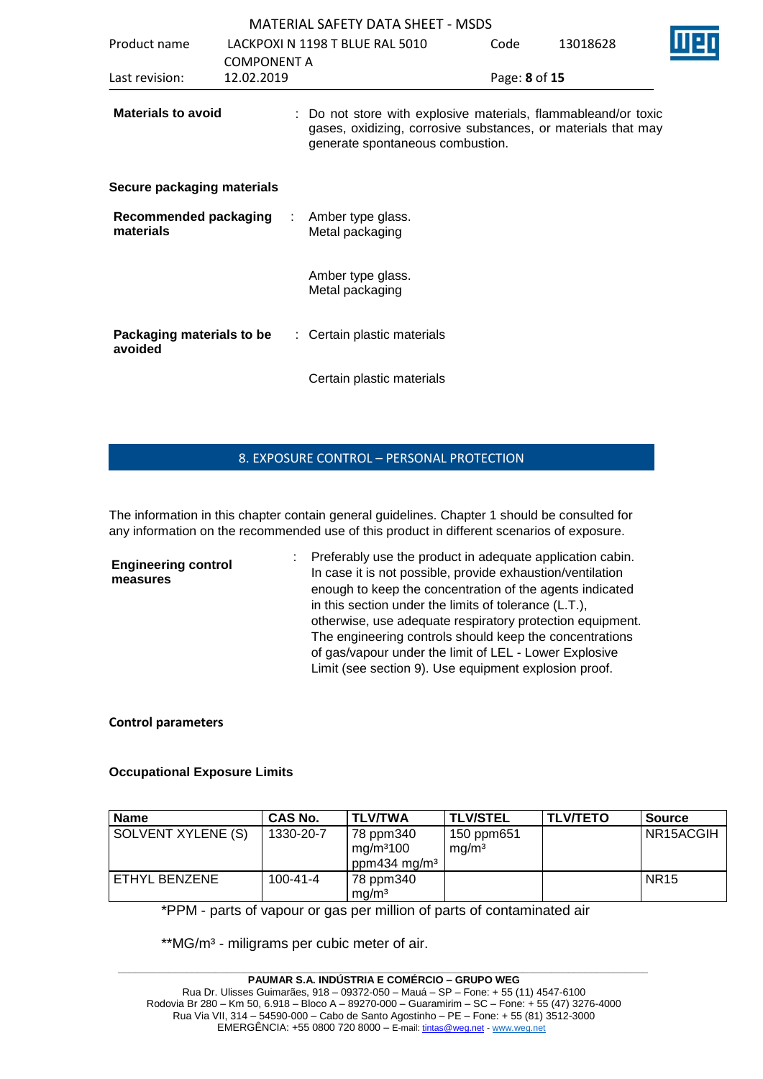|                                      |                                  | <b>MATERIAL SAFETY DATA SHEET - MSDS</b>                                                                                                                            |               |          |  |
|--------------------------------------|----------------------------------|---------------------------------------------------------------------------------------------------------------------------------------------------------------------|---------------|----------|--|
| Product name                         |                                  | LACKPOXI N 1198 T BLUE RAL 5010                                                                                                                                     | Code          | 13018628 |  |
| Last revision:                       | <b>COMPONENT A</b><br>12.02.2019 |                                                                                                                                                                     | Page: 8 of 15 |          |  |
| <b>Materials to avoid</b>            |                                  | : Do not store with explosive materials, flammableand/or toxic<br>gases, oxidizing, corrosive substances, or materials that may<br>generate spontaneous combustion. |               |          |  |
| Secure packaging materials           |                                  |                                                                                                                                                                     |               |          |  |
| Recommended packaging<br>materials   |                                  | Amber type glass.<br>Metal packaging                                                                                                                                |               |          |  |
|                                      |                                  | Amber type glass.<br>Metal packaging                                                                                                                                |               |          |  |
| Packaging materials to be<br>avoided |                                  | : Certain plastic materials                                                                                                                                         |               |          |  |
|                                      |                                  | Certain plastic materials                                                                                                                                           |               |          |  |

# 8. EXPOSURE CONTROL – PERSONAL PROTECTION

The information in this chapter contain general guidelines. Chapter 1 should be consulted for any information on the recommended use of this product in different scenarios of exposure.

| <b>Engineering control</b><br>measures | Preferably use the product in adequate application cabin.<br>In case it is not possible, provide exhaustion/ventilation |
|----------------------------------------|-------------------------------------------------------------------------------------------------------------------------|
|                                        | enough to keep the concentration of the agents indicated                                                                |
|                                        | in this section under the limits of tolerance (L.T.),                                                                   |
|                                        | otherwise, use adequate respiratory protection equipment.                                                               |
|                                        | The engineering controls should keep the concentrations                                                                 |
|                                        | of gas/vapour under the limit of LEL - Lower Explosive                                                                  |
|                                        | Limit (see section 9). Use equipment explosion proof.                                                                   |

#### **Control parameters**

## **Occupational Exposure Limits**

| <b>Name</b>        | CAS No.        | <b>TLV/TWA</b>                                                 | <b>TLV/STEL</b>                 | <b>TLV/TETO</b> | Source      |
|--------------------|----------------|----------------------------------------------------------------|---------------------------------|-----------------|-------------|
| SOLVENT XYLENE (S) | 1330-20-7      | 78 ppm340<br>mg/m <sup>3</sup> 100<br>ppm434 mg/m <sup>3</sup> | 150 ppm651<br>mq/m <sup>3</sup> |                 | NR15ACGIH   |
| ETHYL BENZENE      | $100 - 41 - 4$ | 78 ppm340<br>mg/m <sup>3</sup>                                 |                                 |                 | <b>NR15</b> |

\*PPM - parts of vapour or gas per million of parts of contaminated air

\*\* MG/m<sup>3</sup> - miligrams per cubic meter of air.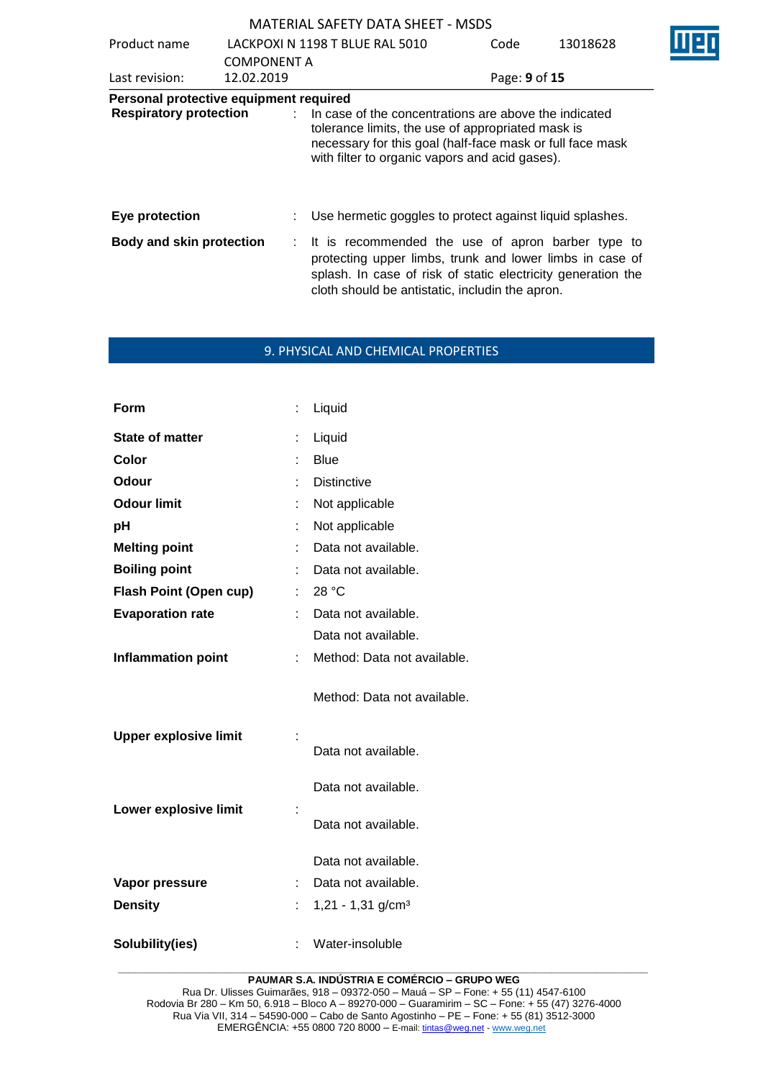|                                                                         |                                  | 1816 LUGL JOL LI LA DATA JULLI                                                                                                                                                                                                         |               |          |  |
|-------------------------------------------------------------------------|----------------------------------|----------------------------------------------------------------------------------------------------------------------------------------------------------------------------------------------------------------------------------------|---------------|----------|--|
| Product name                                                            |                                  | LACKPOXI N 1198 T BLUE RAL 5010                                                                                                                                                                                                        | Code          | 13018628 |  |
| Last revision:                                                          | <b>COMPONENT A</b><br>12.02.2019 |                                                                                                                                                                                                                                        | Page: 9 of 15 |          |  |
| Personal protective equipment required<br><b>Respiratory protection</b> |                                  | $\therefore$ In case of the concentrations are above the indicated<br>tolerance limits, the use of appropriated mask is<br>necessary for this goal (half-face mask or full face mask<br>with filter to organic vapors and acid gases). |               |          |  |
| Eye protection                                                          |                                  | : Use hermetic goggles to protect against liquid splashes.                                                                                                                                                                             |               |          |  |
| <b>Body and skin protection</b>                                         |                                  | : It is recommended the use of apron barber type to<br>protecting upper limbs, trunk and lower limbs in case of<br>splash. In case of risk of static electricity generation the<br>cloth should be antistatic, includin the apron.     |               |          |  |

#### 9. PHYSICAL AND CHEMICAL PROPERTIES

| Form                          |    | Liquid                        |
|-------------------------------|----|-------------------------------|
| <b>State of matter</b>        |    | Liquid                        |
| Color                         |    | <b>Blue</b>                   |
| Odour                         |    | <b>Distinctive</b>            |
| <b>Odour limit</b>            |    | Not applicable                |
| pH                            |    | Not applicable                |
| <b>Melting point</b>          |    | Data not available.           |
| <b>Boiling point</b>          |    | Data not available.           |
| <b>Flash Point (Open cup)</b> |    | 28 °C                         |
| <b>Evaporation rate</b>       |    | Data not available.           |
|                               |    | Data not available.           |
| <b>Inflammation point</b>     | ÷  | Method: Data not available.   |
|                               |    | Method: Data not available.   |
|                               |    |                               |
| <b>Upper explosive limit</b>  |    | Data not available.           |
|                               |    | Data not available.           |
| Lower explosive limit         |    | Data not available.           |
|                               |    | Data not available.           |
| Vapor pressure                | t  | Data not available.           |
| <b>Density</b>                | t. | 1,21 - 1,31 g/cm <sup>3</sup> |

**\_\_\_\_\_\_\_\_\_\_\_\_\_\_\_\_\_\_\_\_\_\_\_\_\_\_\_\_\_\_\_\_\_\_\_\_\_\_\_\_\_\_\_\_\_\_\_\_\_\_\_\_\_\_\_\_\_\_\_\_\_\_\_\_\_\_\_\_\_\_\_\_\_\_\_\_\_\_\_\_\_\_\_\_\_\_\_\_\_\_\_\_\_ PAUMAR S.A. INDÚSTRIA E COMÉRCIO – GRUPO WEG**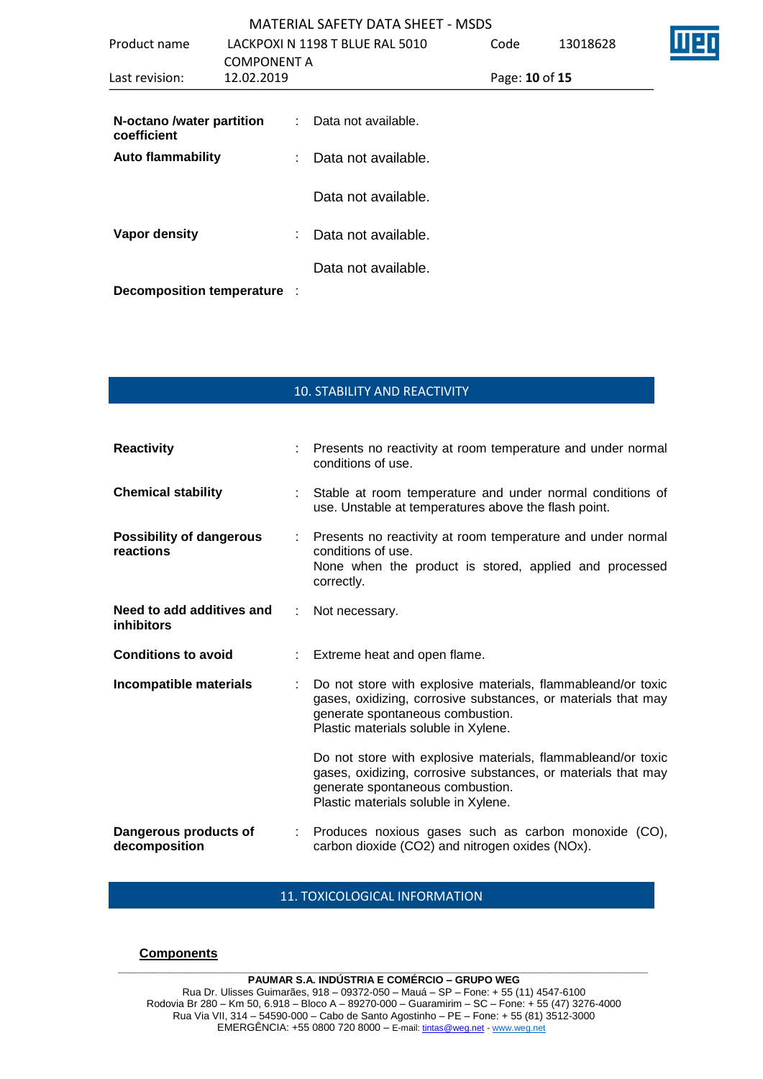|                                          |  |   | <b>MATERIAL SAFETY DATA SHEET - MSDS</b> |                |          |  |
|------------------------------------------|--|---|------------------------------------------|----------------|----------|--|
| Product name<br><b>COMPONENT A</b>       |  |   | LACKPOXI N 1198 T BLUE RAL 5010          | Code           | 13018628 |  |
|                                          |  |   |                                          |                |          |  |
| Last revision:<br>12.02.2019             |  |   |                                          | Page: 10 of 15 |          |  |
| N-octano /water partition<br>coefficient |  |   | : Data not available.                    |                |          |  |
| <b>Auto flammability</b>                 |  | ÷ | Data not available.                      |                |          |  |
|                                          |  |   | Data not available.                      |                |          |  |
| Vapor density                            |  | ÷ | Data not available.                      |                |          |  |
|                                          |  |   | Data not available.                      |                |          |  |
| <b>Decomposition temperature</b>         |  |   |                                          |                |          |  |

# 10. STABILITY AND REACTIVITY

| <b>Reactivity</b>                              |    | Presents no reactivity at room temperature and under normal<br>conditions of use.                                                                                                                         |  |  |
|------------------------------------------------|----|-----------------------------------------------------------------------------------------------------------------------------------------------------------------------------------------------------------|--|--|
| <b>Chemical stability</b>                      |    | : Stable at room temperature and under normal conditions of<br>use. Unstable at temperatures above the flash point.                                                                                       |  |  |
| <b>Possibility of dangerous</b><br>reactions   | ÷. | Presents no reactivity at room temperature and under normal<br>conditions of use.<br>None when the product is stored, applied and processed<br>correctly.                                                 |  |  |
| Need to add additives and<br><b>inhibitors</b> | ÷. | Not necessary.                                                                                                                                                                                            |  |  |
| <b>Conditions to avoid</b>                     |    | Extreme heat and open flame.                                                                                                                                                                              |  |  |
| Incompatible materials                         | ÷. | Do not store with explosive materials, flammableand/or toxic<br>gases, oxidizing, corrosive substances, or materials that may<br>generate spontaneous combustion.<br>Plastic materials soluble in Xylene. |  |  |
|                                                |    | Do not store with explosive materials, flammableand/or toxic<br>gases, oxidizing, corrosive substances, or materials that may<br>generate spontaneous combustion.<br>Plastic materials soluble in Xylene. |  |  |
| Dangerous products of<br>decomposition         |    | : Produces noxious gases such as carbon monoxide (CO),<br>carbon dioxide (CO2) and nitrogen oxides (NOx).                                                                                                 |  |  |

# 11. TOXICOLOGICAL INFORMATION

### **Components**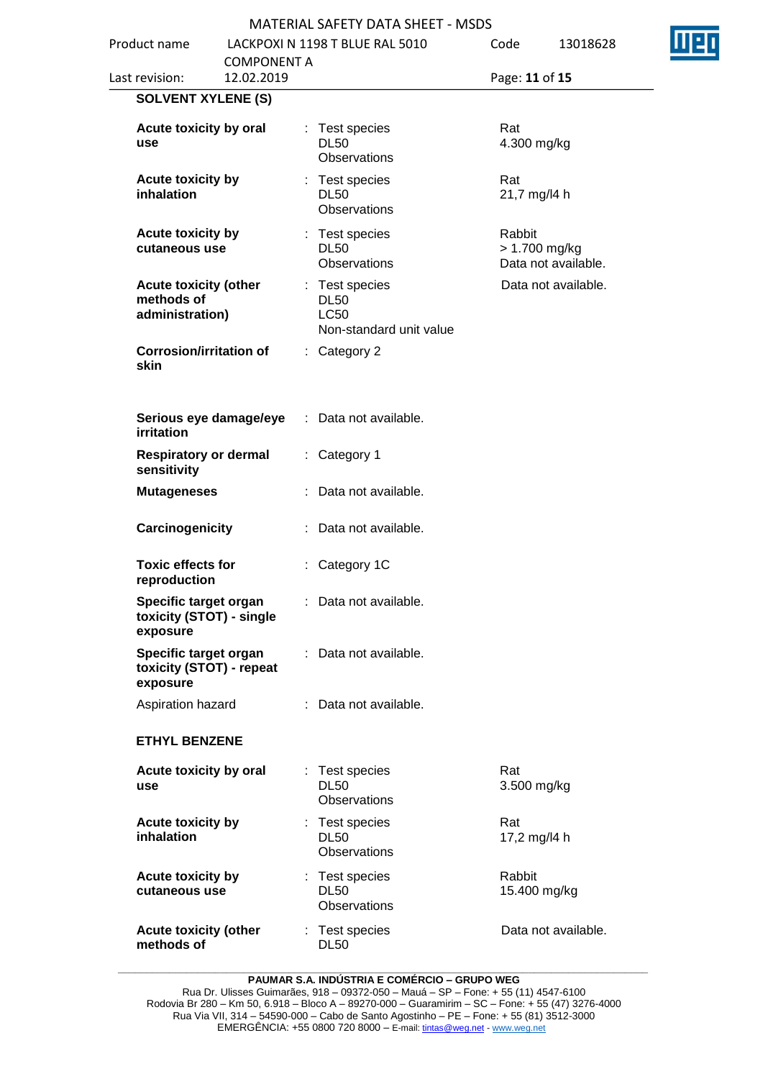|                                                               |                     | <b>MATERIAL SAFETY DATA SHEET - MSDS</b>                              |                         |                     |
|---------------------------------------------------------------|---------------------|-----------------------------------------------------------------------|-------------------------|---------------------|
| Product name                                                  | <b>COMPONENT A</b>  | LACKPOXI N 1198 T BLUE RAL 5010                                       | Code                    | 13018628            |
| Last revision:                                                | 12.02.2019          |                                                                       | Page: 11 of 15          |                     |
| <b>SOLVENT XYLENE (S)</b>                                     |                     |                                                                       |                         |                     |
| Acute toxicity by oral<br>use                                 |                     | Test species<br><b>DL50</b><br>Observations                           | Rat<br>4.300 mg/kg      |                     |
| Acute toxicity by<br>inhalation                               |                     | : Test species<br><b>DL50</b><br>Observations                         | Rat<br>21,7 mg/l4 h     |                     |
| Acute toxicity by<br>cutaneous use                            |                     | : Test species<br><b>DL50</b><br>Observations                         | Rabbit<br>> 1.700 mg/kg | Data not available. |
| <b>Acute toxicity (other</b><br>methods of<br>administration) |                     | Test species<br><b>DL50</b><br><b>LC50</b><br>Non-standard unit value | Data not available.     |                     |
| <b>Corrosion/irritation of</b><br>skin                        |                     | Category 2                                                            |                         |                     |
| Serious eye damage/eye<br><b>irritation</b>                   |                     | : Data not available.                                                 |                         |                     |
| <b>Respiratory or dermal</b><br>sensitivity                   |                     | : Category 1                                                          |                         |                     |
| <b>Mutageneses</b>                                            | Data not available. |                                                                       |                         |                     |
| Carcinogenicity                                               |                     | Data not available.                                                   |                         |                     |
| <b>Toxic effects for</b><br>reproduction                      |                     | Category 1C                                                           |                         |                     |
| Specific target organ<br>toxicity (STOT) - single<br>exposure |                     | : Data not available.                                                 |                         |                     |
| Specific target organ<br>toxicity (STOT) - repeat<br>exposure |                     | : Data not available.                                                 |                         |                     |
| Aspiration hazard                                             |                     | : Data not available.                                                 |                         |                     |
| <b>ETHYL BENZENE</b>                                          |                     |                                                                       |                         |                     |
| Acute toxicity by oral<br>use                                 |                     | Test species<br><b>DL50</b><br>Observations                           | Rat<br>3.500 mg/kg      |                     |
| Acute toxicity by<br>inhalation                               |                     | Rat<br>: Test species<br><b>DL50</b><br>17,2 mg/l4 h<br>Observations  |                         |                     |
| <b>Acute toxicity by</b><br>cutaneous use                     |                     | : Test species<br><b>DL50</b><br><b>Observations</b>                  | Rabbit<br>15.400 mg/kg  |                     |

Data not available.

#### **\_\_\_\_\_\_\_\_\_\_\_\_\_\_\_\_\_\_\_\_\_\_\_\_\_\_\_\_\_\_\_\_\_\_\_\_\_\_\_\_\_\_\_\_\_\_\_\_\_\_\_\_\_\_\_\_\_\_\_\_\_\_\_\_\_\_\_\_\_\_\_\_\_\_\_\_\_\_\_\_\_\_\_\_\_\_\_\_\_\_\_\_\_ PAUMAR S.A. INDÚSTRIA E COMÉRCIO – GRUPO WEG**

: Test species DL50

**Acute toxicity (other** 

**methods of** 

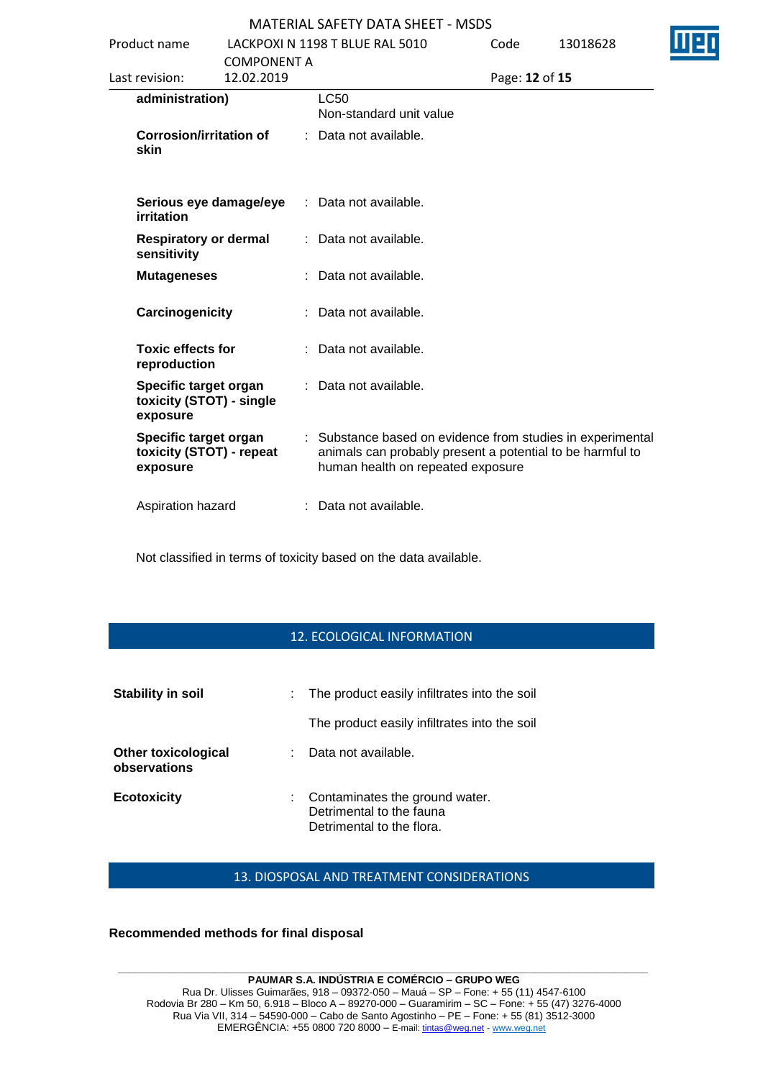| Product name                             |                                                   | LACKPOXI N 1198 T BLUE RAL 5010 | Code                                                                                                                                                         | 13018628       |  |  |
|------------------------------------------|---------------------------------------------------|---------------------------------|--------------------------------------------------------------------------------------------------------------------------------------------------------------|----------------|--|--|
|                                          | <b>COMPONENT A</b>                                |                                 |                                                                                                                                                              |                |  |  |
| Last revision:                           | 12.02.2019                                        |                                 |                                                                                                                                                              | Page: 12 of 15 |  |  |
| administration)                          |                                                   |                                 | <b>LC50</b><br>Non-standard unit value                                                                                                                       |                |  |  |
| skin                                     | <b>Corrosion/irritation of</b>                    |                                 | Data not available.                                                                                                                                          |                |  |  |
| irritation                               | Serious eye damage/eye                            |                                 | : Data not available.                                                                                                                                        |                |  |  |
| sensitivity                              | <b>Respiratory or dermal</b>                      |                                 | Data not available.                                                                                                                                          |                |  |  |
| <b>Mutageneses</b>                       |                                                   |                                 | Data not available.                                                                                                                                          |                |  |  |
| Carcinogenicity                          |                                                   |                                 | : Data not available.                                                                                                                                        |                |  |  |
| <b>Toxic effects for</b><br>reproduction |                                                   |                                 | : Data not available.                                                                                                                                        |                |  |  |
| exposure                                 | Specific target organ<br>toxicity (STOT) - single |                                 | : Data not available.                                                                                                                                        |                |  |  |
| exposure                                 | Specific target organ<br>toxicity (STOT) - repeat |                                 | : Substance based on evidence from studies in experimental<br>animals can probably present a potential to be harmful to<br>human health on repeated exposure |                |  |  |
| Aspiration hazard                        |                                                   |                                 | : Data not available.                                                                                                                                        |                |  |  |

Not classified in terms of toxicity based on the data available.

#### 12. ECOLOGICAL INFORMATION

| <b>Stability in soil</b>                   | The product easily infiltrates into the soil                                            |
|--------------------------------------------|-----------------------------------------------------------------------------------------|
|                                            | The product easily infiltrates into the soil                                            |
| <b>Other toxicological</b><br>observations | Data not available.                                                                     |
| <b>Ecotoxicity</b>                         | Contaminates the ground water.<br>Detrimental to the fauna<br>Detrimental to the flora. |

#### 13. DIOSPOSAL AND TREATMENT CONSIDERATIONS

#### **Recommended methods for final disposal**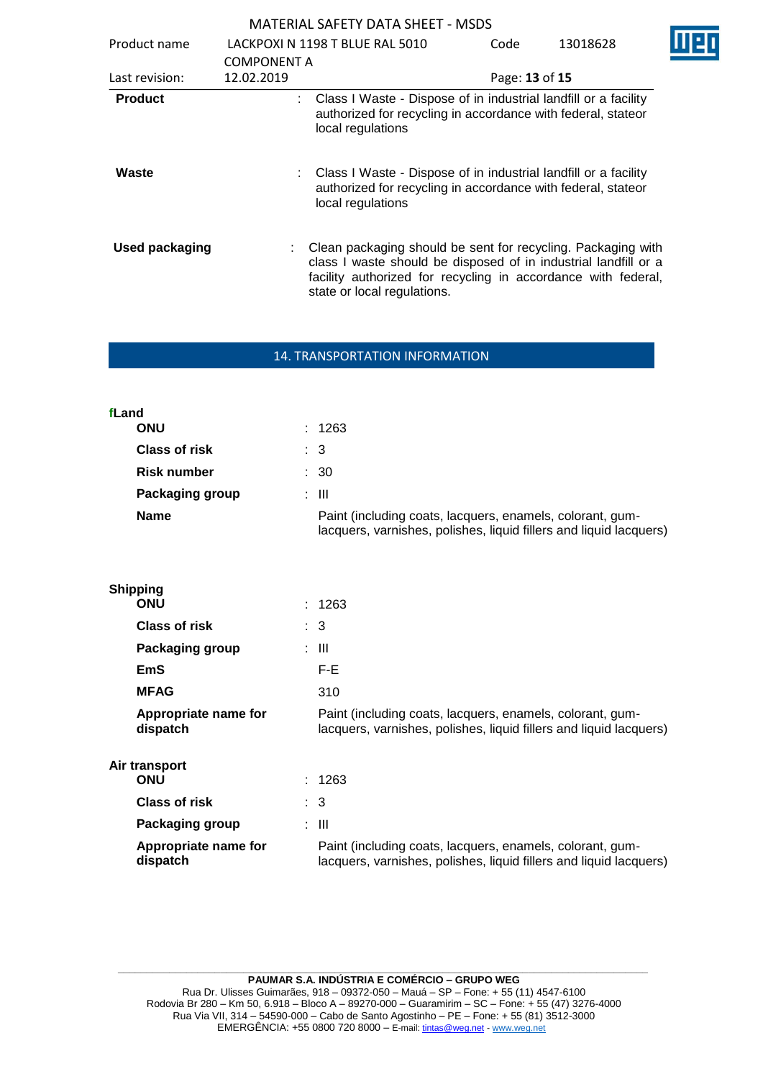| Product name          |                                  | LACKPOXI N 1198 T BLUE RAL 5010                                                                                                                                                                                                 | Code           | 13018628 |
|-----------------------|----------------------------------|---------------------------------------------------------------------------------------------------------------------------------------------------------------------------------------------------------------------------------|----------------|----------|
| Last revision:        | <b>COMPONENT A</b><br>12.02.2019 |                                                                                                                                                                                                                                 | Page: 13 of 15 |          |
| <b>Product</b>        |                                  | : Class I Waste - Dispose of in industrial landfill or a facility<br>authorized for recycling in accordance with federal, stateor<br>local regulations                                                                          |                |          |
| Waste                 |                                  | Class I Waste - Dispose of in industrial landfill or a facility<br>authorized for recycling in accordance with federal, stateor<br>local regulations                                                                            |                |          |
| <b>Used packaging</b> |                                  | Clean packaging should be sent for recycling. Packaging with<br>class I waste should be disposed of in industrial landfill or a<br>facility authorized for recycling in accordance with federal,<br>state or local regulations. |                |          |

#### 14. TRANSPORTATION INFORMATION

| fLand                |                                                                                                                                 |
|----------------------|---------------------------------------------------------------------------------------------------------------------------------|
| <b>ONU</b>           | : 1263                                                                                                                          |
| <b>Class of risk</b> | : 3                                                                                                                             |
| <b>Risk number</b>   | $\therefore$ 30                                                                                                                 |
| Packaging group      | : III                                                                                                                           |
| <b>Name</b>          | Paint (including coats, lacquers, enamels, colorant, gum-<br>lacquers, varnishes, polishes, liquid fillers and liquid lacquers) |

| <b>Shipping</b>                  |                                  |                                                                                                                                 |                                                                                                                                 |  |  |  |
|----------------------------------|----------------------------------|---------------------------------------------------------------------------------------------------------------------------------|---------------------------------------------------------------------------------------------------------------------------------|--|--|--|
|                                  | <b>ONU</b>                       |                                                                                                                                 | : 1263                                                                                                                          |  |  |  |
|                                  | <b>Class of risk</b>             |                                                                                                                                 | $\therefore$ 3                                                                                                                  |  |  |  |
|                                  | Packaging group                  |                                                                                                                                 | : III                                                                                                                           |  |  |  |
|                                  | EmS                              |                                                                                                                                 | F-E                                                                                                                             |  |  |  |
|                                  | <b>MFAG</b>                      |                                                                                                                                 | 310                                                                                                                             |  |  |  |
| Appropriate name for<br>dispatch |                                  | Paint (including coats, lacquers, enamels, colorant, gum-<br>lacquers, varnishes, polishes, liquid fillers and liquid lacquers) |                                                                                                                                 |  |  |  |
| Air transport                    |                                  |                                                                                                                                 |                                                                                                                                 |  |  |  |
|                                  | <b>ONU</b>                       |                                                                                                                                 | : 1263                                                                                                                          |  |  |  |
|                                  | <b>Class of risk</b>             |                                                                                                                                 | : 3                                                                                                                             |  |  |  |
|                                  | <b>Packaging group</b>           |                                                                                                                                 | : III                                                                                                                           |  |  |  |
|                                  | Appropriate name for<br>dispatch |                                                                                                                                 | Paint (including coats, lacquers, enamels, colorant, gum-<br>lacquers, varnishes, polishes, liquid fillers and liquid lacquers) |  |  |  |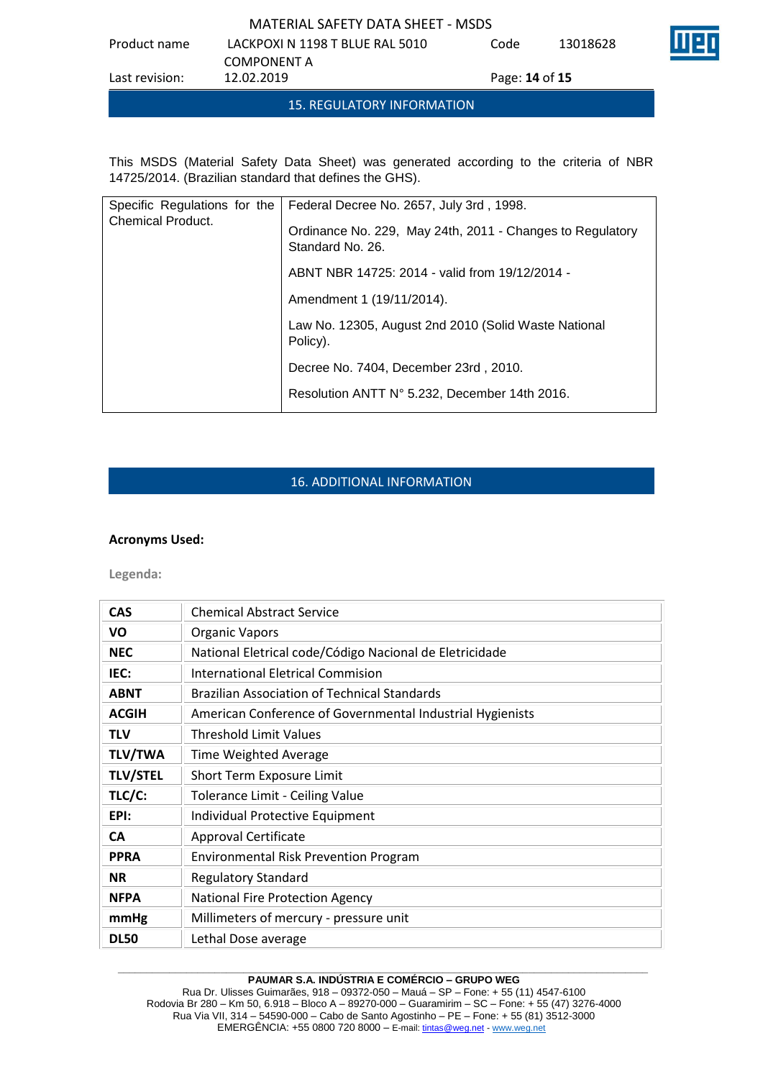Code 13018628



Product name LACKPOXI N 1198 T BLUE RAL 5010 COMPONENT A<br>12.02.2019 Last revision: 12.02.2019 Page: **14** of **15**

15. REGULATORY INFORMATION

This MSDS (Material Safety Data Sheet) was generated according to the criteria of NBR 14725/2014. (Brazilian standard that defines the GHS).

| Specific Regulations for the | Federal Decree No. 2657, July 3rd, 1998.                                      |  |  |
|------------------------------|-------------------------------------------------------------------------------|--|--|
| <b>Chemical Product.</b>     | Ordinance No. 229, May 24th, 2011 - Changes to Regulatory<br>Standard No. 26. |  |  |
|                              | ABNT NBR 14725: 2014 - valid from 19/12/2014 -                                |  |  |
|                              | Amendment 1 (19/11/2014).                                                     |  |  |
|                              | Law No. 12305, August 2nd 2010 (Solid Waste National<br>Policy).              |  |  |
|                              | Decree No. 7404, December 23rd, 2010.                                         |  |  |
|                              | Resolution ANTT N° 5.232, December 14th 2016.                                 |  |  |

# 16. ADDITIONAL INFORMATION

#### **Acronyms Used:**

**Legenda:**

| <b>CAS</b>      | <b>Chemical Abstract Service</b>                          |
|-----------------|-----------------------------------------------------------|
| VO              | <b>Organic Vapors</b>                                     |
| <b>NEC</b>      | National Eletrical code/Código Nacional de Eletricidade   |
| IEC:            | International Eletrical Commision                         |
| <b>ABNT</b>     | <b>Brazilian Association of Technical Standards</b>       |
| <b>ACGIH</b>    | American Conference of Governmental Industrial Hygienists |
| <b>TLV</b>      | <b>Threshold Limit Values</b>                             |
| <b>TLV/TWA</b>  | Time Weighted Average                                     |
| <b>TLV/STEL</b> | Short Term Exposure Limit                                 |
| TLC/C:          | Tolerance Limit - Ceiling Value                           |
| EPI:            | Individual Protective Equipment                           |
| <b>CA</b>       | <b>Approval Certificate</b>                               |
| <b>PPRA</b>     | <b>Environmental Risk Prevention Program</b>              |
| <b>NR</b>       | <b>Regulatory Standard</b>                                |
| <b>NFPA</b>     | National Fire Protection Agency                           |
| mmHg            | Millimeters of mercury - pressure unit                    |
| <b>DL50</b>     | Lethal Dose average                                       |

#### **\_\_\_\_\_\_\_\_\_\_\_\_\_\_\_\_\_\_\_\_\_\_\_\_\_\_\_\_\_\_\_\_\_\_\_\_\_\_\_\_\_\_\_\_\_\_\_\_\_\_\_\_\_\_\_\_\_\_\_\_\_\_\_\_\_\_\_\_\_\_\_\_\_\_\_\_\_\_\_\_\_\_\_\_\_\_\_\_\_\_\_\_\_ PAUMAR S.A. INDÚSTRIA E COMÉRCIO – GRUPO WEG**